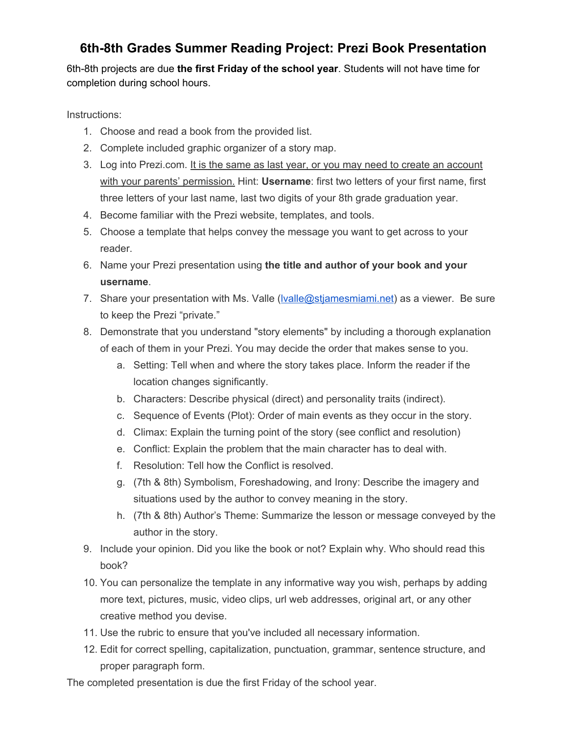### **6th-8th Grades Summer Reading Project: Prezi Book Presentation**

6th-8th projects are due the first Friday of the school year. Students will not have time for completion during school hours.

Instructions:

- 1. Choose and read a book from the provided list.
- 2. Complete included graphic organizer of a story map.
- 3. Log into Prezi.com. It is the same as last year, or you may need to create an account with your parents' permission. Hint: **Username**: first two letters of your first name, first three letters of your last name, last two digits of your 8th grade graduation year.
- 4. Become familiar with the Prezi website, templates, and tools.
- 5. Choose a template that helps convey the message you want to get across to your reader.
- 6. Name your Prezi presentation using **the title and author of your book and your username**.
- 7. Share your presentation with Ms. Valle [\(lvalle@stjamesmiami.net\)](mailto:lvalle@stjamesmiami.net) as a viewer. Be sure to keep the Prezi "private."
- 8. Demonstrate that you understand "story elements" by including a thorough explanation of each of them in your Prezi. You may decide the order that makes sense to you.
	- a. Setting: Tell when and where the story takes place. Inform the reader if the location changes significantly.
	- b. Characters: Describe physical (direct) and personality traits (indirect).
	- c. Sequence of Events (Plot): Order of main events as they occur in the story.
	- d. Climax: Explain the turning point of the story (see conflict and resolution)
	- e. Conflict: Explain the problem that the main character has to deal with.
	- f. Resolution: Tell how the Conflict is resolved.
	- g. (7th & 8th) Symbolism, Foreshadowing, and Irony: Describe the imagery and situations used by the author to convey meaning in the story.
	- h. (7th & 8th) Author's Theme: Summarize the lesson or message conveyed by the author in the story.
- 9. Include your opinion. Did you like the book or not? Explain why. Who should read this book?
- 10. You can personalize the template in any informative way you wish, perhaps by adding more text, pictures, music, video clips, url web addresses, original art, or any other creative method you devise.
- 11. Use the rubric to ensure that you've included all necessary information.
- 12. Edit for correct spelling, capitalization, punctuation, grammar, sentence structure, and proper paragraph form.

The completed presentation is due the first Friday of the school year.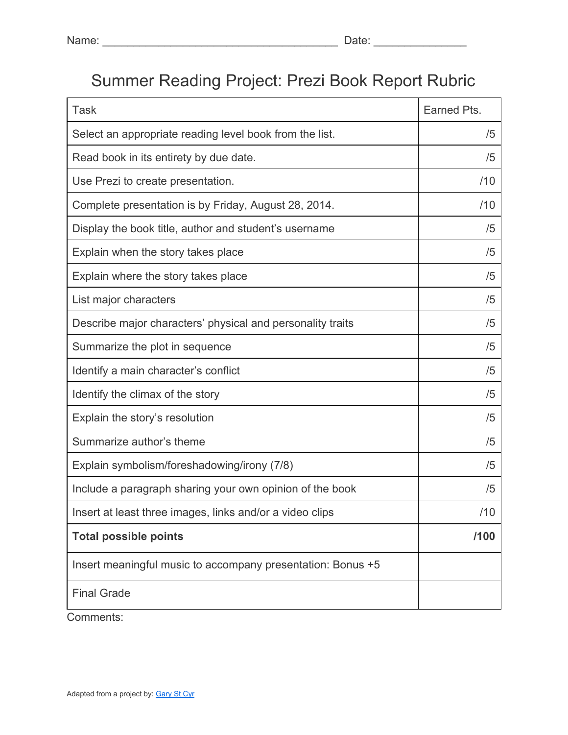# Summer Reading Project: Prezi Book Report Rubric

| <b>Task</b>                                                 | Earned Pts. |
|-------------------------------------------------------------|-------------|
| Select an appropriate reading level book from the list.     | /5          |
| Read book in its entirety by due date.                      | /5          |
| Use Prezi to create presentation.                           | /10         |
| Complete presentation is by Friday, August 28, 2014.        | /10         |
| Display the book title, author and student's username       | /5          |
| Explain when the story takes place                          | /5          |
| Explain where the story takes place                         | /5          |
| List major characters                                       | /5          |
| Describe major characters' physical and personality traits  | /5          |
| Summarize the plot in sequence                              | /5          |
| Identify a main character's conflict                        | /5          |
| Identify the climax of the story                            | /5          |
| Explain the story's resolution                              | /5          |
| Summarize author's theme                                    | /5          |
| Explain symbolism/foreshadowing/irony (7/8)                 | /5          |
| Include a paragraph sharing your own opinion of the book    | /5          |
| Insert at least three images, links and/or a video clips    | /10         |
| <b>Total possible points</b>                                | /100        |
| Insert meaningful music to accompany presentation: Bonus +5 |             |
| <b>Final Grade</b>                                          |             |

Comments: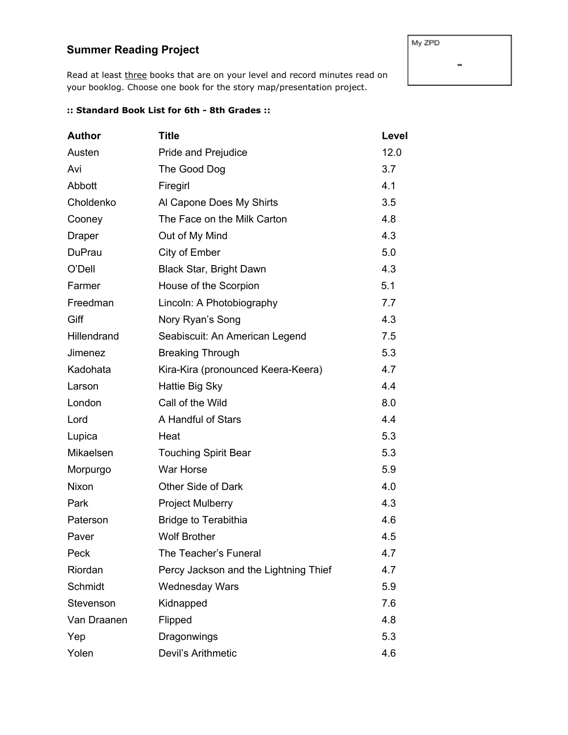#### **Summer Reading Project**

Read at least three books that are on your level and record minutes read on your booklog. Choose one book for the story map/presentation project.

#### **:: Standard Book List for 6th 8th Grades ::**

| <b>Author</b> | <b>Title</b>                          | Level |
|---------------|---------------------------------------|-------|
| Austen        | Pride and Prejudice                   | 12.0  |
| Avi           | The Good Dog                          | 3.7   |
| Abbott        | Firegirl                              | 4.1   |
| Choldenko     | Al Capone Does My Shirts              | 3.5   |
| Cooney        | The Face on the Milk Carton           | 4.8   |
| <b>Draper</b> | Out of My Mind                        | 4.3   |
| <b>DuPrau</b> | City of Ember                         | 5.0   |
| O'Dell        | Black Star, Bright Dawn               | 4.3   |
| Farmer        | House of the Scorpion                 | 5.1   |
| Freedman      | Lincoln: A Photobiography             | 7.7   |
| Giff          | Nory Ryan's Song                      | 4.3   |
| Hillendrand   | Seabiscuit: An American Legend        | 7.5   |
| Jimenez       | <b>Breaking Through</b>               | 5.3   |
| Kadohata      | Kira-Kira (pronounced Keera-Keera)    | 4.7   |
| Larson        | Hattie Big Sky                        | 4.4   |
| London        | Call of the Wild                      | 8.0   |
| Lord          | A Handful of Stars                    | 4.4   |
| Lupica        | Heat                                  | 5.3   |
| Mikaelsen     | <b>Touching Spirit Bear</b>           | 5.3   |
| Morpurgo      | War Horse                             | 5.9   |
| Nixon         | Other Side of Dark                    | 4.0   |
| Park          | <b>Project Mulberry</b>               | 4.3   |
| Paterson      | <b>Bridge to Terabithia</b>           | 4.6   |
| Paver         | <b>Wolf Brother</b>                   | 4.5   |
| Peck          | The Teacher's Funeral                 | 4.7   |
| Riordan       | Percy Jackson and the Lightning Thief | 4.7   |
| Schmidt       | <b>Wednesday Wars</b>                 | 5.9   |
| Stevenson     | Kidnapped                             | 7.6   |
| Van Draanen   | Flipped                               | 4.8   |
| Yep           | Dragonwings                           | 5.3   |
| Yolen         | Devil's Arithmetic                    | 4.6   |

My ZPD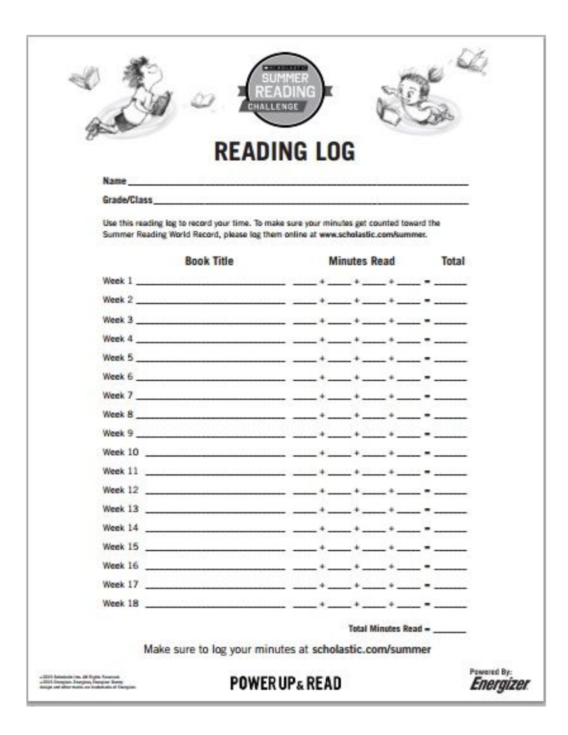|         | CHALLENGE                                                                                                                                                                                                                           |                             |  |
|---------|-------------------------------------------------------------------------------------------------------------------------------------------------------------------------------------------------------------------------------------|-----------------------------|--|
|         | <b>READING LOG</b><br>Name: Contract of Contract the theory and the theory and the set                                                                                                                                              |                             |  |
|         | Grade/Class Contract Contract of the Class                                                                                                                                                                                          |                             |  |
|         | Use this reading log to record your time. To make sure your minutes get counted toward the<br>Summer Reading World Record, please log them online at www.scholastic.com/summer.                                                     |                             |  |
|         | <b>Book Title</b>                                                                                                                                                                                                                   | Minutes Read Total          |  |
|         | Week 1 Million and Communication of the series of the series of the series of the series of the series of the                                                                                                                       |                             |  |
|         |                                                                                                                                                                                                                                     |                             |  |
|         | Week 3   https://www.com/www.com/www.com/www.com/www.com/www.com/www.com/                                                                                                                                                           |                             |  |
|         | Week 4                                                                                                                                                                                                                              |                             |  |
|         | Week 5                                                                                                                                                                                                                              |                             |  |
|         | Week 6                                                                                                                                                                                                                              |                             |  |
|         | Week 7 $+$ $+$ $+$ $+$ $ +$ $  -$                                                                                                                                                                                                   |                             |  |
|         | Week 8 $+ + + + + +$                                                                                                                                                                                                                |                             |  |
|         |                                                                                                                                                                                                                                     |                             |  |
| Week 10 |                                                                                                                                                                                                                                     |                             |  |
|         | Week 11 - Commission Commission (State of Commission Commission) and the commission of the Commission                                                                                                                               |                             |  |
| Week 12 | <u>kommunen mannan annan san 1940 ann</u> 400 an 400 ann 400 ann                                                                                                                                                                    |                             |  |
|         | Week 13                                                                                                                                                                                                                             |                             |  |
|         |                                                                                                                                                                                                                                     |                             |  |
|         | Week 15                                                                                                                                                                                                                             |                             |  |
|         | Week 16                                                                                                                                                                                                                             |                             |  |
|         | Week 17. <u>And the company of the set of the set of the set of the set of the set of the set of the set of the set of the set of the set of the set of the set of the set of the set of the set of the set of the set of the s</u> |                             |  |
|         |                                                                                                                                                                                                                                     |                             |  |
|         |                                                                                                                                                                                                                                     | <b>Total Minutes Read =</b> |  |
|         |                                                                                                                                                                                                                                     |                             |  |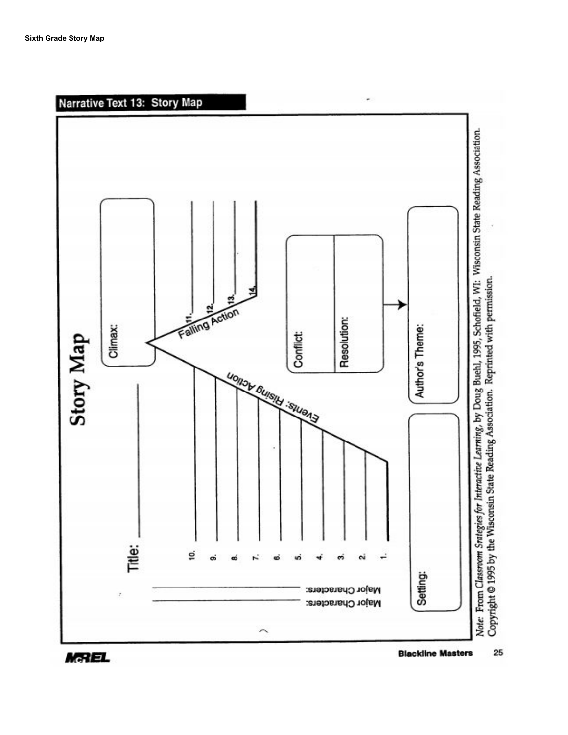

**Blackline Masters** 25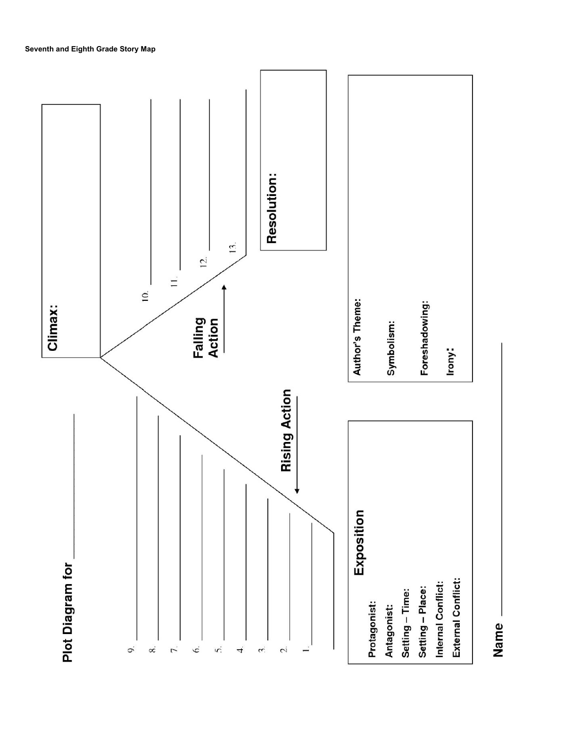

Name